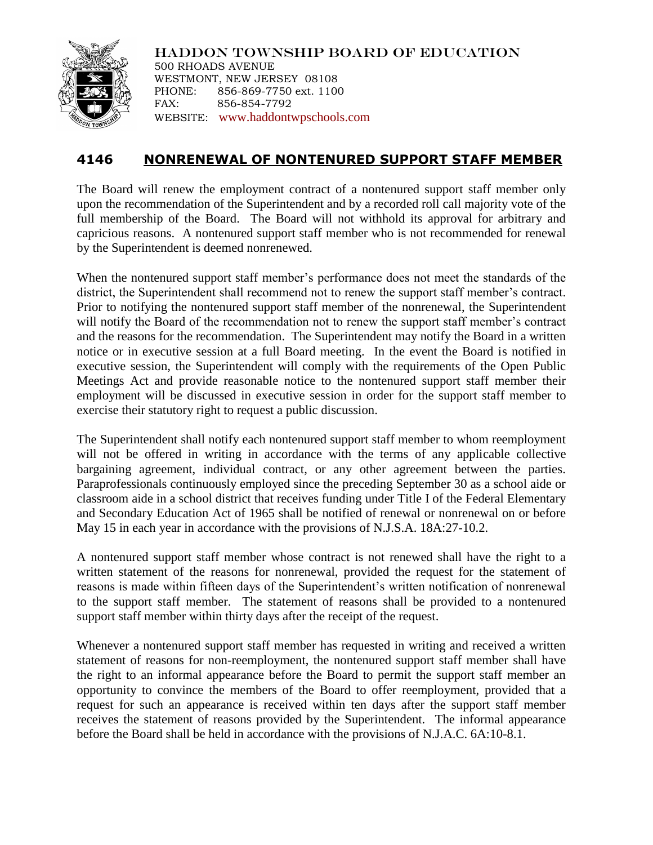

HADDON TOWNSHIP BOARD OF EDUCATION 500 RHOADS AVENUE WESTMONT, NEW JERSEY 08108 PHONE: 856-869-7750 ext. 1100 FAX: 856-854-7792 WEBSITE: [www.haddontwpschools.com](http://www.haddontwpschools.com/)

## **4146 NONRENEWAL OF NONTENURED SUPPORT STAFF MEMBER**

The Board will renew the employment contract of a nontenured support staff member only upon the recommendation of the Superintendent and by a recorded roll call majority vote of the full membership of the Board. The Board will not withhold its approval for arbitrary and capricious reasons. A nontenured support staff member who is not recommended for renewal by the Superintendent is deemed nonrenewed.

When the nontenured support staff member's performance does not meet the standards of the district, the Superintendent shall recommend not to renew the support staff member's contract. Prior to notifying the nontenured support staff member of the nonrenewal, the Superintendent will notify the Board of the recommendation not to renew the support staff member's contract and the reasons for the recommendation. The Superintendent may notify the Board in a written notice or in executive session at a full Board meeting. In the event the Board is notified in executive session, the Superintendent will comply with the requirements of the Open Public Meetings Act and provide reasonable notice to the nontenured support staff member their employment will be discussed in executive session in order for the support staff member to exercise their statutory right to request a public discussion.

The Superintendent shall notify each nontenured support staff member to whom reemployment will not be offered in writing in accordance with the terms of any applicable collective bargaining agreement, individual contract, or any other agreement between the parties. Paraprofessionals continuously employed since the preceding September 30 as a school aide or classroom aide in a school district that receives funding under Title I of the Federal Elementary and Secondary Education Act of 1965 shall be notified of renewal or nonrenewal on or before May 15 in each year in accordance with the provisions of N.J.S.A. 18A:27-10.2.

A nontenured support staff member whose contract is not renewed shall have the right to a written statement of the reasons for nonrenewal, provided the request for the statement of reasons is made within fifteen days of the Superintendent's written notification of nonrenewal to the support staff member. The statement of reasons shall be provided to a nontenured support staff member within thirty days after the receipt of the request.

Whenever a nontenured support staff member has requested in writing and received a written statement of reasons for non-reemployment, the nontenured support staff member shall have the right to an informal appearance before the Board to permit the support staff member an opportunity to convince the members of the Board to offer reemployment, provided that a request for such an appearance is received within ten days after the support staff member receives the statement of reasons provided by the Superintendent. The informal appearance before the Board shall be held in accordance with the provisions of N.J.A.C. 6A:10-8.1.